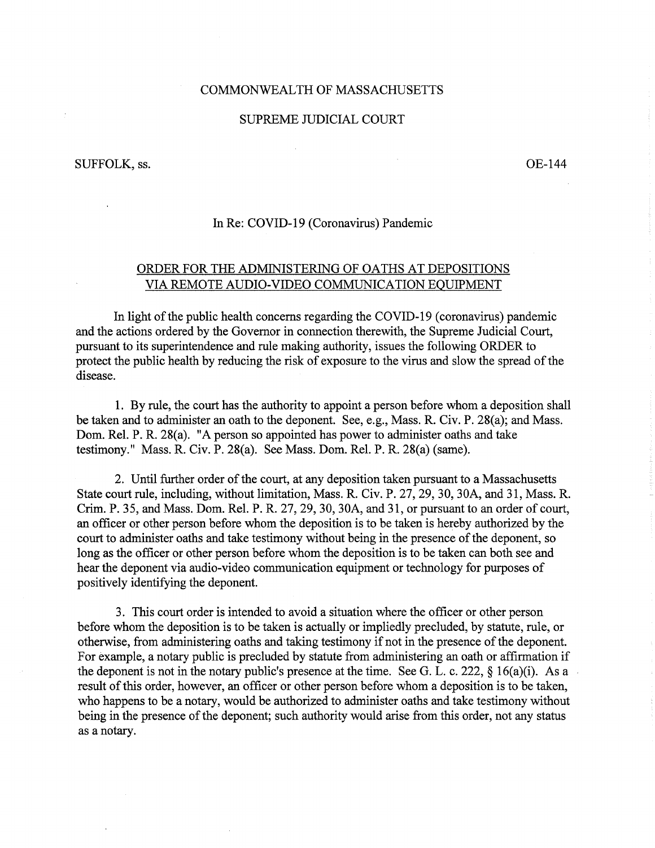## COMMONWEALTH OF MASSACHUSETTS

### SUPREME JUDICIAL COURT

 $\sim$ 

#### SUFFOLK, ss.

0E-144

## In Re: COVID-19 (Coronavirus) Pandemic

# ORDER FOR THE ADMINISTERING OF OATHS AT DEPOSITIONS VIA REMOTE AUDIO-VIDEO COMMUNICATION EQUIPMENT

In light of the public health concerns regarding the COVID-19 (coronavirus) pandemic and the actions ordered by the Governor in connection therewith, the Supreme Judicial Court, pursuant to its superintendence and rule making authority, issues the following ORDER to protect the public health by reducing the risk of exposure to the virus and slow the spread of the disease.

1. By rule, the court has the authority to appoint a person before whom a deposition shall be taken and to administer an oath to the deponent. See, e.g., Mass. R. Civ. P. 28(a); and Mass. Dom. Rel. P. R. 28(a). "A person so appointed has power to administer oaths and take testimony." Mass. R. Civ. P. 28(a). See Mass. Dom. Rel. P. R. 28(a) (same).

2. Until further order of the court, at any deposition taken pursuant to a Massachusetts State court rule, including, without limitation, Mass. R. Civ. P. 27, 29, 30, 30A, and 31, Mass. R. Crim. P. 35, and Mass. Dom. Rel. P. R. 27, 29, 30, 30A, and 31, or pursuant to an order of court, an officer or other person before whom the deposition is to be taken is hereby authorized by the court to administer oaths and take testimony without being in the presence of the deponent, so long as the officer or other person before whom the deposition is to be taken can both see and hear the deponent via audio-video communication equipment or technology for purposes of positively identifying the deponent.

3. This court order is intended to avoid a situation where the officer or other person before whom the deposition is to be taken is actually or impliedly precluded, by statute, rule, or otherwise, from administering oaths and taking testimony if not in the presence of the deponent. For example, a notary public is precluded by statute from administering an oath or affirmation if the deponent is not in the notary public's presence at the time. See G. L. c. 222,  $\S$  16(a)(i). As a result of this order, however, an officer or other person before whom a deposition is to be taken, who happens to be a notary, would be authorized to administer oaths and take testimony without being in the presence of the deponent; such authority would arise from this order, not any status as a notary.